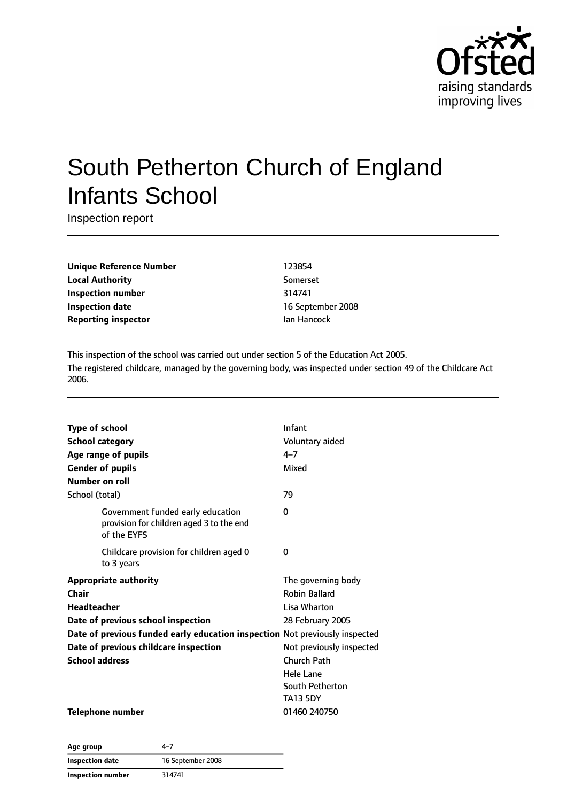

# South Petherton Church of England Infants School

Inspection report

**Unique Reference Number** 123854 **Local Authority** Somerset **Inspection number** 314741 **Inspection date** 16 September 2008 **Reporting inspector intervalse in the UA Hancock** 

This inspection of the school was carried out under section 5 of the Education Act 2005. The registered childcare, managed by the governing body, was inspected under section 49 of the Childcare Act 2006.

| <b>Type of school</b> |                                                                                              | Infant                   |
|-----------------------|----------------------------------------------------------------------------------------------|--------------------------|
|                       | <b>School category</b>                                                                       | Voluntary aided          |
|                       | Age range of pupils                                                                          | 4–7                      |
|                       | <b>Gender of pupils</b>                                                                      | Mixed                    |
|                       | Number on roll                                                                               |                          |
| School (total)        |                                                                                              | 79                       |
|                       | Government funded early education<br>provision for children aged 3 to the end<br>of the EYFS | 0                        |
|                       | Childcare provision for children aged 0<br>to 3 years                                        | 0                        |
|                       | <b>Appropriate authority</b>                                                                 | The governing body       |
| Chair                 |                                                                                              | <b>Robin Ballard</b>     |
| Headteacher           |                                                                                              | Lisa Wharton             |
|                       | Date of previous school inspection                                                           | 28 February 2005         |
|                       | Date of previous funded early education inspection Not previously inspected                  |                          |
|                       | Date of previous childcare inspection                                                        | Not previously inspected |
| <b>School address</b> |                                                                                              | <b>Church Path</b>       |
|                       |                                                                                              | <b>Hele Lane</b>         |
|                       |                                                                                              | South Petherton          |
|                       |                                                                                              | <b>TA13 5DY</b>          |
|                       |                                                                                              |                          |

**Telephone number** 01460 240750

**Age group** 4–7 **Inspection date** 16 September 2008 **Inspection number** 314741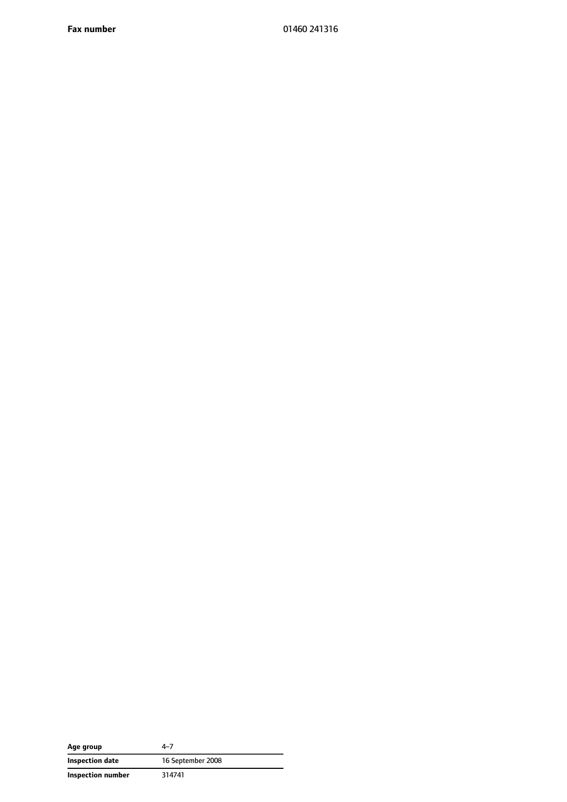**Fax number** 01460 241316

| Age group         | 4–7               |
|-------------------|-------------------|
| Inspection date   | 16 September 2008 |
| Inspection number | 314741            |

 $\overline{\phantom{0}}$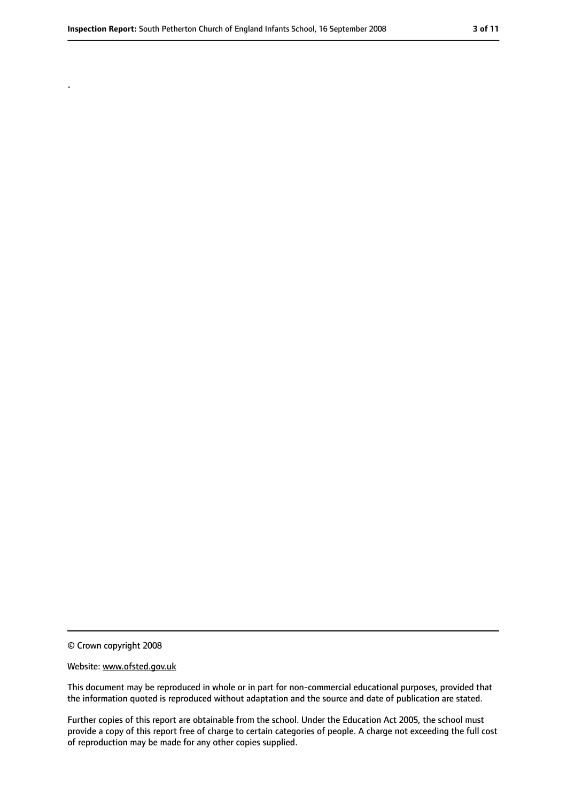.

#### Website: www.ofsted.gov.uk

This document may be reproduced in whole or in part for non-commercial educational purposes, provided that the information quoted is reproduced without adaptation and the source and date of publication are stated.

Further copies of this report are obtainable from the school. Under the Education Act 2005, the school must provide a copy of this report free of charge to certain categories of people. A charge not exceeding the full cost of reproduction may be made for any other copies supplied.

<sup>©</sup> Crown copyright 2008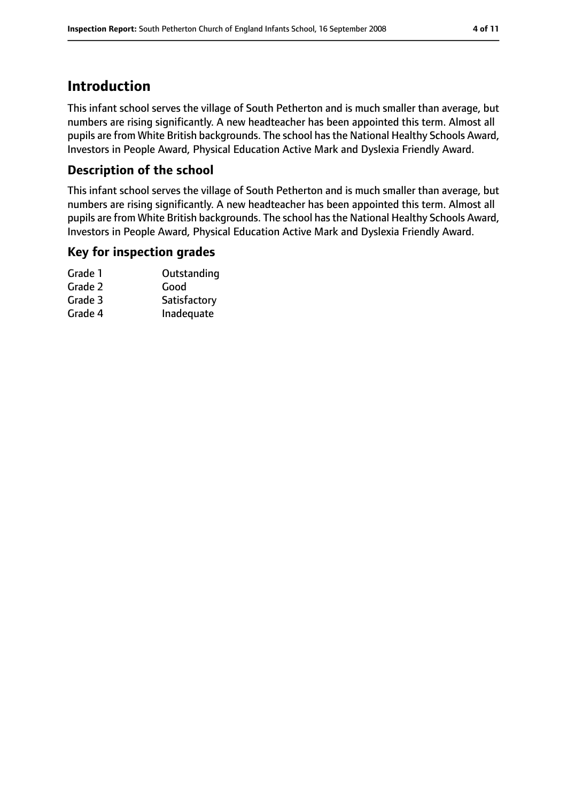# **Introduction**

This infant school serves the village of South Petherton and is much smaller than average, but numbers are rising significantly. A new headteacher has been appointed this term. Almost all pupils are from White British backgrounds. The school hasthe National Healthy Schools Award, Investors in People Award, Physical Education Active Mark and Dyslexia Friendly Award.

### **Description of the school**

This infant school serves the village of South Petherton and is much smaller than average, but numbers are rising significantly. A new headteacher has been appointed this term. Almost all pupils are from White British backgrounds. The school has the National Healthy Schools Award, Investors in People Award, Physical Education Active Mark and Dyslexia Friendly Award.

#### **Key for inspection grades**

| Outstanding  |
|--------------|
| Good         |
| Satisfactory |
| Inadequate   |
|              |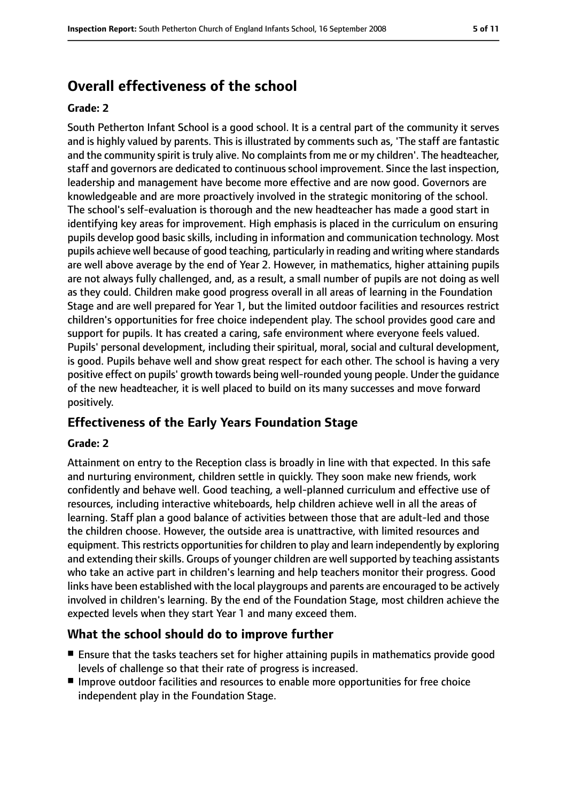# **Overall effectiveness of the school**

#### **Grade: 2**

South Petherton Infant School is a good school. It is a central part of the community it serves and is highly valued by parents. This is illustrated by comments such as, 'The staff are fantastic and the community spirit is truly alive. No complaints from me or my children'. The headteacher, staff and governors are dedicated to continuous school improvement. Since the last inspection, leadership and management have become more effective and are now good. Governors are knowledgeable and are more proactively involved in the strategic monitoring of the school. The school's self-evaluation is thorough and the new headteacher has made a good start in identifying key areas for improvement. High emphasis is placed in the curriculum on ensuring pupils develop good basic skills, including in information and communication technology. Most pupils achieve well because of good teaching, particularly in reading and writing where standards are well above average by the end of Year 2. However, in mathematics, higher attaining pupils are not always fully challenged, and, as a result, a small number of pupils are not doing as well as they could. Children make good progress overall in all areas of learning in the Foundation Stage and are well prepared for Year 1, but the limited outdoor facilities and resources restrict children's opportunities for free choice independent play. The school provides good care and support for pupils. It has created a caring, safe environment where everyone feels valued. Pupils' personal development, including their spiritual, moral, social and cultural development, is good. Pupils behave well and show great respect for each other. The school is having a very positive effect on pupils' growth towards being well-rounded young people. Under the guidance of the new headteacher, it is well placed to build on its many successes and move forward positively.

### **Effectiveness of the Early Years Foundation Stage**

#### **Grade: 2**

Attainment on entry to the Reception class is broadly in line with that expected. In this safe and nurturing environment, children settle in quickly. They soon make new friends, work confidently and behave well. Good teaching, a well-planned curriculum and effective use of resources, including interactive whiteboards, help children achieve well in all the areas of learning. Staff plan a good balance of activities between those that are adult-led and those the children choose. However, the outside area is unattractive, with limited resources and equipment. This restricts opportunities for children to play and learn independently by exploring and extending their skills. Groups of younger children are well supported by teaching assistants who take an active part in children's learning and help teachers monitor their progress. Good links have been established with the local playgroups and parents are encouraged to be actively involved in children's learning. By the end of the Foundation Stage, most children achieve the expected levels when they start Year 1 and many exceed them.

### **What the school should do to improve further**

- Ensure that the tasks teachers set for higher attaining pupils in mathematics provide good levels of challenge so that their rate of progress is increased.
- Improve outdoor facilities and resources to enable more opportunities for free choice independent play in the Foundation Stage.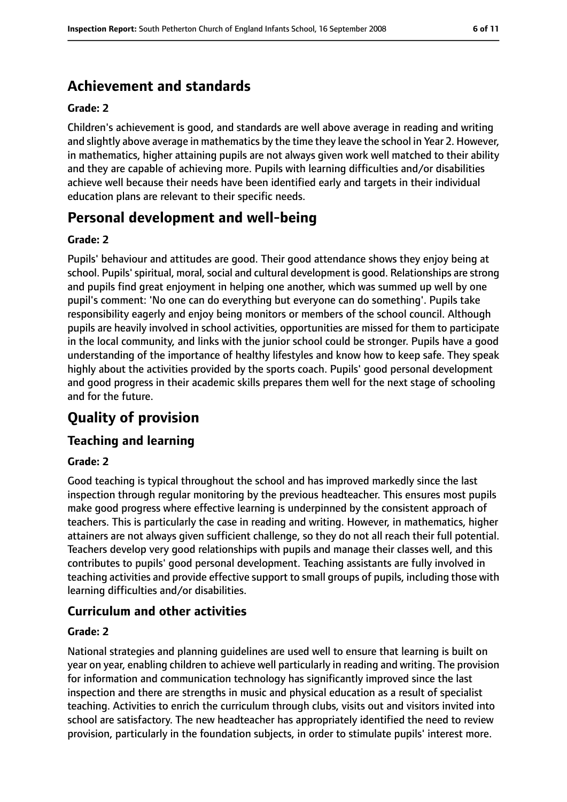# **Achievement and standards**

#### **Grade: 2**

Children's achievement is good, and standards are well above average in reading and writing and slightly above average in mathematics by the time they leave the school in Year 2. However, in mathematics, higher attaining pupils are not always given work well matched to their ability and they are capable of achieving more. Pupils with learning difficulties and/or disabilities achieve well because their needs have been identified early and targets in their individual education plans are relevant to their specific needs.

# **Personal development and well-being**

#### **Grade: 2**

Pupils' behaviour and attitudes are good. Their good attendance shows they enjoy being at school. Pupils' spiritual, moral, social and cultural development is good. Relationships are strong and pupils find great enjoyment in helping one another, which was summed up well by one pupil's comment: 'No one can do everything but everyone can do something'. Pupils take responsibility eagerly and enjoy being monitors or members of the school council. Although pupils are heavily involved in school activities, opportunities are missed for them to participate in the local community, and links with the junior school could be stronger. Pupils have a good understanding of the importance of healthy lifestyles and know how to keep safe. They speak highly about the activities provided by the sports coach. Pupils' good personal development and good progress in their academic skills prepares them well for the next stage of schooling and for the future.

# **Quality of provision**

#### **Teaching and learning**

#### **Grade: 2**

Good teaching is typical throughout the school and has improved markedly since the last inspection through regular monitoring by the previous headteacher. This ensures most pupils make good progress where effective learning is underpinned by the consistent approach of teachers. This is particularly the case in reading and writing. However, in mathematics, higher attainers are not always given sufficient challenge, so they do not all reach their full potential. Teachers develop very good relationships with pupils and manage their classes well, and this contributes to pupils' good personal development. Teaching assistants are fully involved in teaching activities and provide effective support to small groups of pupils, including those with learning difficulties and/or disabilities.

#### **Curriculum and other activities**

#### **Grade: 2**

National strategies and planning guidelines are used well to ensure that learning is built on year on year, enabling children to achieve well particularly in reading and writing. The provision for information and communication technology has significantly improved since the last inspection and there are strengths in music and physical education as a result of specialist teaching. Activities to enrich the curriculum through clubs, visits out and visitors invited into school are satisfactory. The new headteacher has appropriately identified the need to review provision, particularly in the foundation subjects, in order to stimulate pupils' interest more.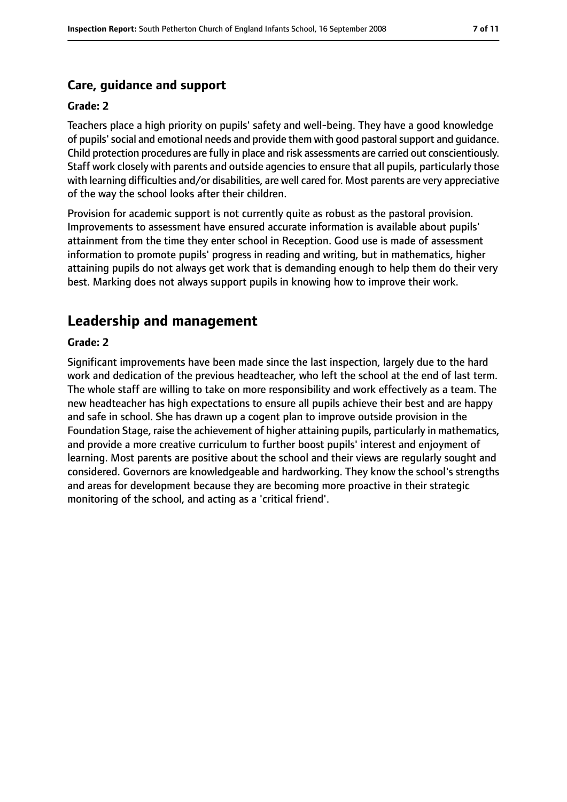### **Care, guidance and support**

#### **Grade: 2**

Teachers place a high priority on pupils' safety and well-being. They have a good knowledge of pupils'social and emotional needs and provide them with good pastoralsupport and guidance. Child protection procedures are fully in place and risk assessments are carried out conscientiously. Staff work closely with parents and outside agencies to ensure that all pupils, particularly those with learning difficulties and/or disabilities, are well cared for. Most parents are very appreciative of the way the school looks after their children.

Provision for academic support is not currently quite as robust as the pastoral provision. Improvements to assessment have ensured accurate information is available about pupils' attainment from the time they enter school in Reception. Good use is made of assessment information to promote pupils' progress in reading and writing, but in mathematics, higher attaining pupils do not always get work that is demanding enough to help them do their very best. Marking does not always support pupils in knowing how to improve their work.

# **Leadership and management**

#### **Grade: 2**

Significant improvements have been made since the last inspection, largely due to the hard work and dedication of the previous headteacher, who left the school at the end of last term. The whole staff are willing to take on more responsibility and work effectively as a team. The new headteacher has high expectations to ensure all pupils achieve their best and are happy and safe in school. She has drawn up a cogent plan to improve outside provision in the Foundation Stage, raise the achievement of higher attaining pupils, particularly in mathematics, and provide a more creative curriculum to further boost pupils' interest and enjoyment of learning. Most parents are positive about the school and their views are regularly sought and considered. Governors are knowledgeable and hardworking. They know the school's strengths and areas for development because they are becoming more proactive in their strategic monitoring of the school, and acting as a 'critical friend'.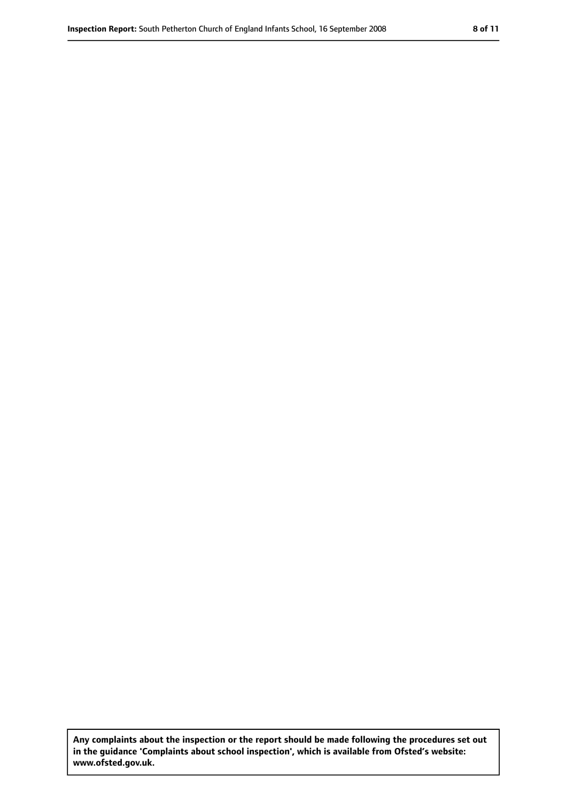**Any complaints about the inspection or the report should be made following the procedures set out in the guidance 'Complaints about school inspection', which is available from Ofsted's website: www.ofsted.gov.uk.**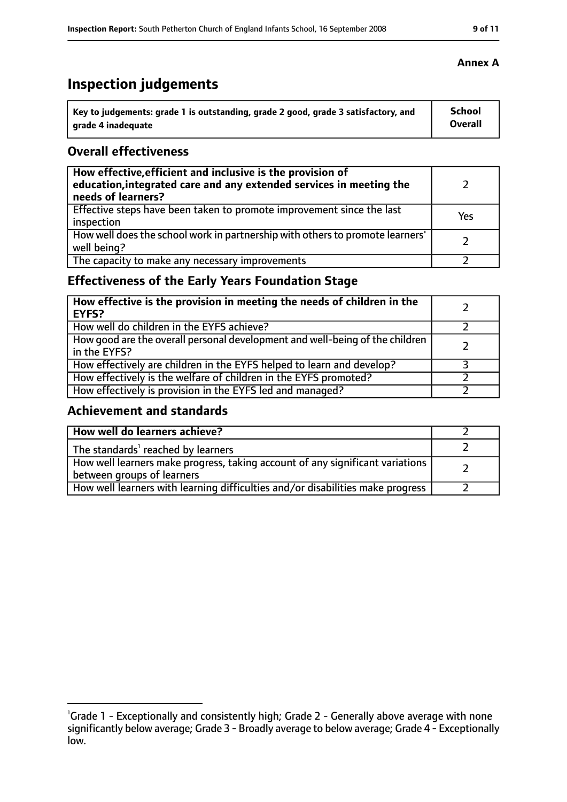# **Inspection judgements**

| \ Key to judgements: grade 1 is outstanding, grade 2 good, grade 3 satisfactory, and | <b>School</b>  |
|--------------------------------------------------------------------------------------|----------------|
| arade 4 inadequate                                                                   | <b>Overall</b> |

### **Overall effectiveness**

| How effective, efficient and inclusive is the provision of<br>education, integrated care and any extended services in meeting the<br>needs of learners? |     |
|---------------------------------------------------------------------------------------------------------------------------------------------------------|-----|
| Effective steps have been taken to promote improvement since the last<br>inspection                                                                     | Yes |
| How well does the school work in partnership with others to promote learners'<br>well being?                                                            |     |
| The capacity to make any necessary improvements                                                                                                         |     |

# **Effectiveness of the Early Years Foundation Stage**

| How effective is the provision in meeting the needs of children in the<br><b>EYFS?</b>       |  |
|----------------------------------------------------------------------------------------------|--|
| How well do children in the EYFS achieve?                                                    |  |
| How good are the overall personal development and well-being of the children<br>in the EYFS? |  |
| How effectively are children in the EYFS helped to learn and develop?                        |  |
| How effectively is the welfare of children in the EYFS promoted?                             |  |
| How effectively is provision in the EYFS led and managed?                                    |  |

### **Achievement and standards**

| How well do learners achieve?                                                                               |  |
|-------------------------------------------------------------------------------------------------------------|--|
| The standards <sup>1</sup> reached by learners                                                              |  |
| How well learners make progress, taking account of any significant variations<br>between groups of learners |  |
| How well learners with learning difficulties and/or disabilities make progress                              |  |

#### **Annex A**

<sup>&</sup>lt;sup>1</sup>Grade 1 - Exceptionally and consistently high; Grade 2 - Generally above average with none significantly below average; Grade 3 - Broadly average to below average; Grade 4 - Exceptionally low.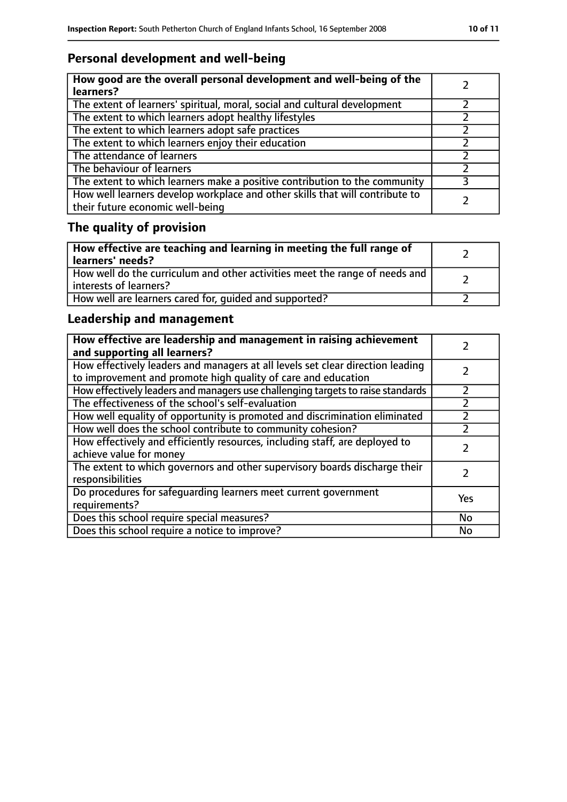# **Personal development and well-being**

| How good are the overall personal development and well-being of the<br>learners?                                 |  |
|------------------------------------------------------------------------------------------------------------------|--|
| The extent of learners' spiritual, moral, social and cultural development                                        |  |
| The extent to which learners adopt healthy lifestyles                                                            |  |
| The extent to which learners adopt safe practices                                                                |  |
| The extent to which learners enjoy their education                                                               |  |
| The attendance of learners                                                                                       |  |
| The behaviour of learners                                                                                        |  |
| The extent to which learners make a positive contribution to the community                                       |  |
| How well learners develop workplace and other skills that will contribute to<br>their future economic well-being |  |

# **The quality of provision**

| How effective are teaching and learning in meeting the full range of<br>learners' needs?              |  |
|-------------------------------------------------------------------------------------------------------|--|
| How well do the curriculum and other activities meet the range of needs and<br>interests of learners? |  |
| How well are learners cared for, quided and supported?                                                |  |

# **Leadership and management**

| How effective are leadership and management in raising achievement<br>and supporting all learners?                                              |     |
|-------------------------------------------------------------------------------------------------------------------------------------------------|-----|
| How effectively leaders and managers at all levels set clear direction leading<br>to improvement and promote high quality of care and education |     |
| How effectively leaders and managers use challenging targets to raise standards                                                                 |     |
| The effectiveness of the school's self-evaluation                                                                                               |     |
| How well equality of opportunity is promoted and discrimination eliminated                                                                      |     |
| How well does the school contribute to community cohesion?                                                                                      |     |
| How effectively and efficiently resources, including staff, are deployed to<br>achieve value for money                                          |     |
| The extent to which governors and other supervisory boards discharge their<br>responsibilities                                                  |     |
| Do procedures for safeguarding learners meet current government<br>requirements?                                                                | Yes |
| Does this school require special measures?                                                                                                      | No  |
| Does this school require a notice to improve?                                                                                                   | No  |